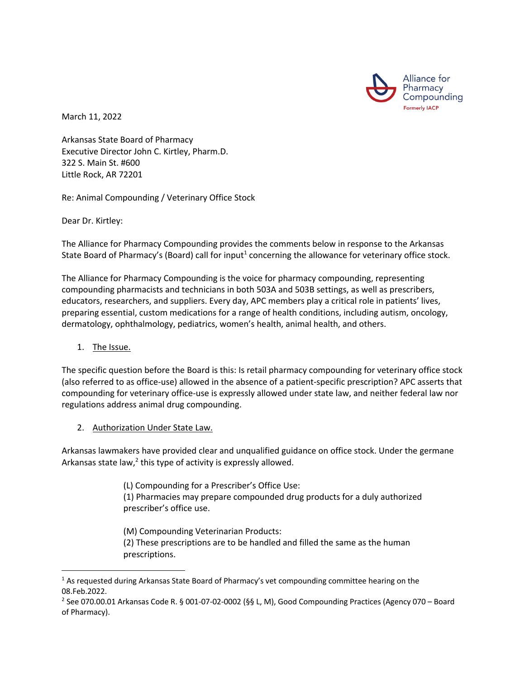

March 11, 2022

Arkansas State Board of Pharmacy Executive Director John C. Kirtley, Pharm.D. 322 S. Main St. #600 Little Rock, AR 72201

Re: Animal Compounding / Veterinary Office Stock

Dear Dr. Kirtley:

The Alliance for Pharmacy Compounding provides the comments below in response to the Arkansas State Board of Pharmacy's (Board) call for input<sup>1</sup> concerning the allowance for veterinary office stock.

The Alliance for Pharmacy Compounding is the voice for pharmacy compounding, representing compounding pharmacists and technicians in both 503A and 503B settings, as well as prescribers, educators, researchers, and suppliers. Every day, APC members play a critical role in patients' lives, preparing essential, custom medications for a range of health conditions, including autism, oncology, dermatology, ophthalmology, pediatrics, women's health, animal health, and others.

## 1. The Issue.

The specific question before the Board is this: Is retail pharmacy compounding for veterinary office stock (also referred to as office-use) allowed in the absence of a patient-specific prescription? APC asserts that compounding for veterinary office-use is expressly allowed under state law, and neither federal law nor regulations address animal drug compounding.

2. Authorization Under State Law.

Arkansas lawmakers have provided clear and unqualified guidance on office stock. Under the germane Arkansas state law, $^2$  this type of activity is expressly allowed.

(L) Compounding for a Prescriber's Office Use:

(1) Pharmacies may prepare compounded drug products for a duly authorized prescriber's office use.

(M) Compounding Veterinarian Products: (2) These prescriptions are to be handled and filled the same as the human prescriptions.

<sup>&</sup>lt;sup>1</sup> As requested during Arkansas State Board of Pharmacy's vet compounding committee hearing on the 08.Feb.2022.

<sup>2</sup> See 070.00.01 Arkansas Code R. § 001-07-02-0002 (§§ L, M), Good Compounding Practices (Agency 070 – Board of Pharmacy).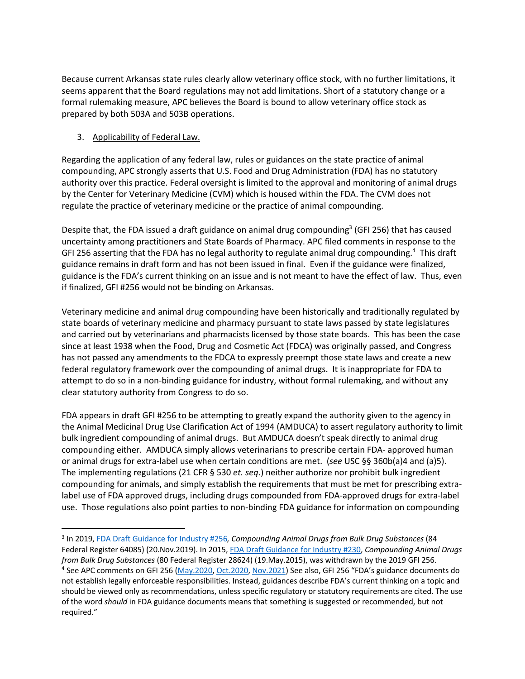Because current Arkansas state rules clearly allow veterinary office stock, with no further limitations, it seems apparent that the Board regulations may not add limitations. Short of a statutory change or a formal rulemaking measure, APC believes the Board is bound to allow veterinary office stock as prepared by both 503A and 503B operations.

## 3. Applicability of Federal Law.

Regarding the application of any federal law, rules or guidances on the state practice of animal compounding, APC strongly asserts that U.S. Food and Drug Administration (FDA) has no statutory authority over this practice. Federal oversight is limited to the approval and monitoring of animal drugs by the Center for Veterinary Medicine (CVM) which is housed within the FDA. The CVM does not regulate the practice of veterinary medicine or the practice of animal compounding.

Despite that, the FDA issued a draft guidance on animal drug compounding<sup>3</sup> (GFI 256) that has caused uncertainty among practitioners and State Boards of Pharmacy. APC filed comments in response to the GFI 256 asserting that the FDA has no legal authority to regulate animal drug compounding.<sup>4</sup> This draft guidance remains in draft form and has not been issued in final. Even if the guidance were finalized, guidance is the FDA's current thinking on an issue and is not meant to have the effect of law. Thus, even if finalized, GFI #256 would not be binding on Arkansas.

Veterinary medicine and animal drug compounding have been historically and traditionally regulated by state boards of veterinary medicine and pharmacy pursuant to state laws passed by state legislatures and carried out by veterinarians and pharmacists licensed by those state boards. This has been the case since at least 1938 when the Food, Drug and Cosmetic Act (FDCA) was originally passed, and Congress has not passed any amendments to the FDCA to expressly preempt those state laws and create a new federal regulatory framework over the compounding of animal drugs. It is inappropriate for FDA to attempt to do so in a non-binding guidance for industry, without formal rulemaking, and without any clear statutory authority from Congress to do so.

FDA appears in draft GFI #256 to be attempting to greatly expand the authority given to the agency in the Animal Medicinal Drug Use Clarification Act of 1994 (AMDUCA) to assert regulatory authority to limit bulk ingredient compounding of animal drugs. But AMDUCA doesn't speak directly to animal drug compounding either. AMDUCA simply allows veterinarians to prescribe certain FDA- approved human or animal drugs for extra-label use when certain conditions are met. (*see* USC §§ 360b(a)4 and (a)5). The implementing regulations (21 CFR § 530 *et. seq*.) neither authorize nor prohibit bulk ingredient compounding for animals, and simply establish the requirements that must be met for prescribing extralabel use of FDA approved drugs, including drugs compounded from FDA-approved drugs for extra-label use. Those regulations also point parties to non-binding FDA guidance for information on compounding

<sup>3</sup> In 2019, FDA Draft Guidance for Industry #256*, Compounding Animal Drugs from Bulk Drug Substances* (84 Federal Register 64085) (20.Nov.2019). In 2015, FDA Draft Guidance for Industry #230, *Compounding Animal Drugs from Bulk Drug Substances* (80 Federal Register 28624) (19.May.2015), was withdrawn by the 2019 GFI 256.

<sup>&</sup>lt;sup>4</sup> See APC comments on GFI 256 (May.2020, Oct.2020, Nov.2021) See also, GFI 256 "FDA's guidance documents do not establish legally enforceable responsibilities. Instead, guidances describe FDA's current thinking on a topic and should be viewed only as recommendations, unless specific regulatory or statutory requirements are cited. The use of the word *should* in FDA guidance documents means that something is suggested or recommended, but not required."